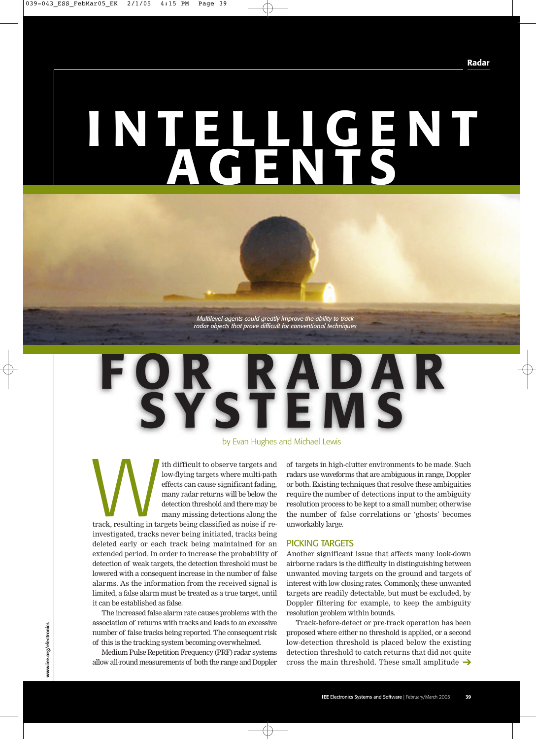# **INTELLIGENT AGENTS**

*Multilevel agents could greatly improve the ability to track radar objects that prove difficult for conventional techniques*

## **FOR RADAR SYSTEMS**

#### by Evan Hughes and Michael Lewis

ith difficult to observe targets and<br>low-flying targets where multi-path<br>effects can cause significant fading,<br>many radar returns will be below the<br>detection threshold and there may be<br>many missing detections along the<br>tra low-flying targets where multi-path effects can cause significant fading, many radar returns will be below the detection threshold and there may be many missing detections along the track, resulting in targets being classified as noise if reinvestigated, tracks never being initiated, tracks being deleted early or each track being maintained for an extended period. In order to increase the probability of detection of weak targets, the detection threshold must be lowered with a consequent increase in the number of false alarms. As the information from the received signal is limited, a false alarm must be treated as a true target, until it can be established as false.

The increased false alarm rate causes problems with the association of returns with tracks and leads to an excessive number of false tracks being reported. The consequent risk of this is the tracking system becoming overwhelmed.

allow all-round measurements of both the range and Doppler  $~\,$  cross the main threshold. These small amplitude  $\rightarrow$ Medium Pulse Repetition Frequency (PRF) radar systems

of targets in high-clutter environments to be made. Such radars use waveforms that are ambiguous in range, Doppler or both. Existing techniques that resolve these ambiguities require the number of detections input to the ambiguity resolution process to be kept to a small number, otherwise the number of false correlations or 'ghosts' becomes unworkably large.

#### PICKING TARGETS

Another significant issue that affects many look-down airborne radars is the difficulty in distinguishing between unwanted moving targets on the ground and targets of interest with low closing rates. Commonly, these unwanted targets are readily detectable, but must be excluded, by Doppler filtering for example, to keep the ambiguity resolution problem within bounds.

Track-before-detect or pre-track operation has been proposed where either no threshold is applied, or a second low-detection threshold is placed below the existing detection threshold to catch returns that did not quite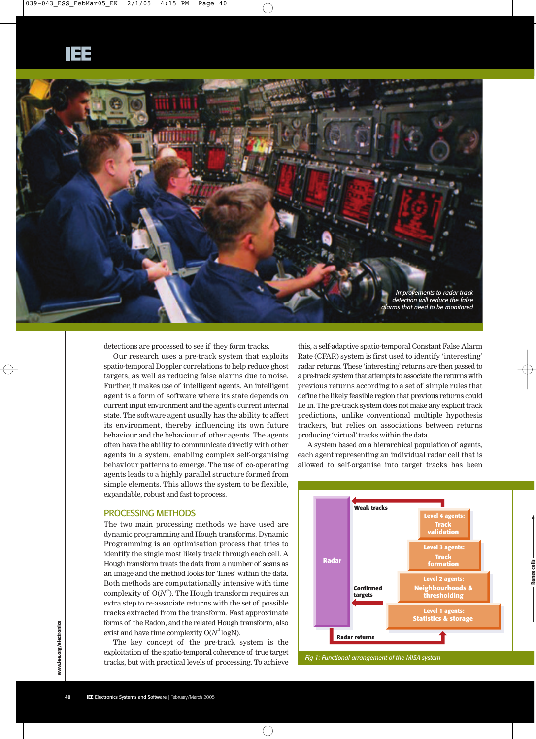

detections are processed to see if they form tracks.

Our research uses a pre-track system that exploits spatio-temporal Doppler correlations to help reduce ghost targets, as well as reducing false alarms due to noise. Further, it makes use of intelligent agents. An intelligent agent is a form of software where its state depends on current input environment and the agent's current internal state. The software agent usually has the ability to affect its environment, thereby influencing its own future behaviour and the behaviour of other agents. The agents often have the ability to communicate directly with other agents in a system, enabling complex self-organising behaviour patterns to emerge. The use of co-operating agents leads to a highly parallel structure formed from simple elements. This allows the system to be flexible, expandable, robust and fast to process.

#### PROCESSING METHODS

The two main processing methods we have used are dynamic programming and Hough transforms. Dynamic Programming is an optimisation process that tries to identify the single most likely track through each cell. A Hough transform treats the data from a number of scans as an image and the method looks for 'lines' within the data. Both methods are computationally intensive with time complexity of  $O(N^3)$ . The Hough transform requires an extra step to re-associate returns with the set of possible tracks extracted from the transform. Fast approximate forms of the Radon, and the related Hough transform, also exist and have time complexity  $O(N^2 \log N)$ .

The key concept of the pre-track system is the exploitation of the spatio-temporal coherence of true target tracks, but with practical levels of processing. To achieve

this, a self-adaptive spatio-temporal Constant False Alarm Rate (CFAR) system is first used to identify 'interesting' radar returns. These 'interesting' returns are then passed to a pre-track system that attempts to associate the returns with previous returns according to a set of simple rules that define the likely feasible region that previous returns could lie in. The pre-track system does not make any explicit track predictions, unlike conventional multiple hypothesis trackers, but relies on associations between returns producing 'virtual' tracks within the data.

A system based on a hierarchical population of agents, each agent representing an individual radar cell that is allowed to self-organise into target tracks has been



*Fig 1: Functional arrangement of the MISA system*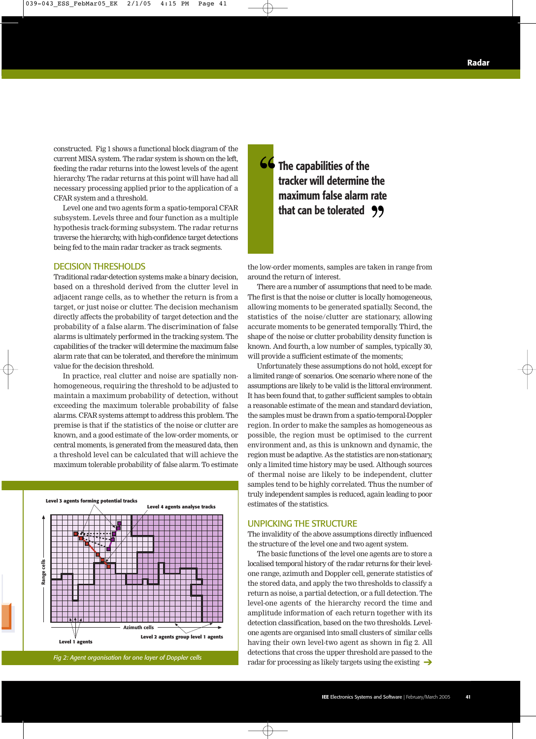constructed. Fig 1 shows a functional block diagram of the current MISA system. The radar system is shown on the left, feeding the radar returns into the lowest levels of the agent hierarchy. The radar returns at this point will have had all necessary processing applied prior to the application of a CFAR system and a threshold.

Level one and two agents form a spatio-temporal CFAR subsystem. Levels three and four function as a multiple hypothesis track-forming subsystem. The radar returns traverse the hierarchy, with high-confidence target detections being fed to the main radar tracker as track segments.

#### DECISION THRESHOLDS

Traditional radar-detection systems make a binary decision, based on a threshold derived from the clutter level in adjacent range cells, as to whether the return is from a target, or just noise or clutter. The decision mechanism directly affects the probability of target detection and the probability of a false alarm. The discrimination of false alarms is ultimately performed in the tracking system. The capabilities of the tracker will determine the maximum false alarm rate that can be tolerated, and therefore the minimum value for the decision threshold.

In practice, real clutter and noise are spatially nonhomogeneous, requiring the threshold to be adjusted to maintain a maximum probability of detection, without exceeding the maximum tolerable probability of false alarms. CFAR systems attempt to address this problem. The premise is that if the statistics of the noise or clutter are known, and a good estimate of the low-order moments, or central moments, is generated from the measured data, then a threshold level can be calculated that will achieve the maximum tolerable probability of false alarm. To estimate



**The capabilities of the tracker will determine the maximum false alarm rate that can be tolerated** '' ''

the low-order moments, samples are taken in range from around the return of interest.

There are a number of assumptions that need to be made. The first is that the noise or clutter is locally homogeneous, allowing moments to be generated spatially. Second, the statistics of the noise/clutter are stationary, allowing accurate moments to be generated temporally. Third, the shape of the noise or clutter probability density function is known. And fourth, a low number of samples, typically 30, will provide a sufficient estimate of the moments;

Unfortunately these assumptions do not hold, except for a limited range of scenarios. One scenario where none of the assumptions are likely to be valid is the littoral environment. It has been found that, to gather sufficient samples to obtain a reasonable estimate of the mean and standard deviation, the samples must be drawn from a spatio-temporal-Doppler region. In order to make the samples as homogeneous as possible, the region must be optimised to the current environment and, as this is unknown and dynamic, the region must be adaptive. As the statistics are non-stationary, only a limited time history may be used. Although sources of thermal noise are likely to be independent, clutter samples tend to be highly correlated. Thus the number of truly independent samples is reduced, again leading to poor estimates of the statistics.

#### UNPICKING THE STRUCTURE

The invalidity of the above assumptions directly influenced the structure of the level one and two agent system.

The basic functions of the level one agents are to store a localised temporal history of the radar returns for their levelone range, azimuth and Doppler cell, generate statistics of the stored data, and apply the two thresholds to classify a return as noise, a partial detection, or a full detection. The level-one agents of the hierarchy record the time and amplitude information of each return together with its detection classification, based on the two thresholds. Levelone agents are organised into small clusters of similar cells having their own level-two agent as shown in fig 2. All detections that cross the upper threshold are passed to the radar for processing as likely targets using the existing ➔ *Fig 2: Agent organisation for one layer of Doppler cells*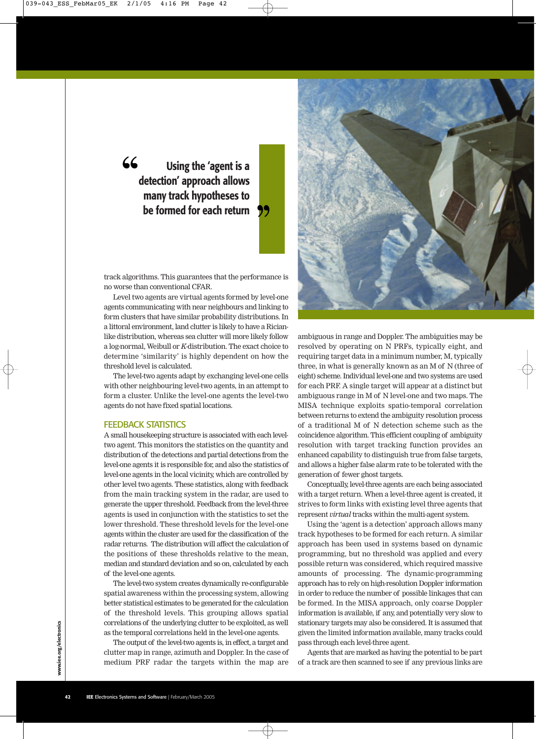### **Using the 'agent is a detection' approach allows many track hypotheses to be formed for each return**  $66$

track algorithms. This guarantees that the performance is no worse than conventional CFAR.

י<br>|<br>|

Level two agents are virtual agents formed by level-one agents communicating with near neighbours and linking to form clusters that have similar probability distributions. In a littoral environment, land clutter is likely to have a Ricianlike distribution, whereas sea clutter will more likely follow a log-normal, Weibull or *K-*distribution. The exact choice to determine 'similarity' is highly dependent on how the threshold level is calculated.

The level-two agents adapt by exchanging level-one cells with other neighbouring level-two agents, in an attempt to form a cluster. Unlike the level-one agents the level-two agents do not have fixed spatial locations.

#### FEEDBACK STATISTICS

A small housekeeping structure is associated with each leveltwo agent. This monitors the statistics on the quantity and distribution of the detections and partial detections from the level-one agents it is responsible for, and also the statistics of level-one agents in the local vicinity, which are controlled by other level two agents. These statistics, along with feedback from the main tracking system in the radar, are used to generate the upper threshold. Feedback from the level-three agents is used in conjunction with the statistics to set the lower threshold. These threshold levels for the level-one agents within the cluster are used for the classification of the radar returns. The distribution will affect the calculation of the positions of these thresholds relative to the mean, median and standard deviation and so on, calculated by each of the level-one agents.

The level-two system creates dynamically re-configurable spatial awareness within the processing system, allowing better statistical estimates to be generated for the calculation of the threshold levels. This grouping allows spatial correlations of the underlying clutter to be exploited, as well as the temporal correlations held in the level-one agents.

The output of the level-two agents is, in effect, a target and clutter map in range, azimuth and Doppler. In the case of medium PRF radar the targets within the map are



ambiguous in range and Doppler. The ambiguities may be resolved by operating on N PRFs, typically eight, and requiring target data in a minimum number, M, typically three, in what is generally known as an M of N (three of eight) scheme. Individual level-one and two systems are used for each PRF. A single target will appear at a distinct but ambiguous range in M of N level-one and two maps. The MISA technique exploits spatio-temporal correlation between returns to extend the ambiguity resolution process of a traditional M of N detection scheme such as the coincidence algorithm. This efficient coupling of ambiguity resolution with target tracking function provides an enhanced capability to distinguish true from false targets, and allows a higher false alarm rate to be tolerated with the generation of fewer ghost targets.

Conceptually, level-three agents are each being associated with a target return. When a level-three agent is created, it strives to form links with existing level three agents that represent *virtual* tracks within the multi-agent system.

Using the 'agent is a detection' approach allows many track hypotheses to be formed for each return. A similar approach has been used in systems based on dynamic programming, but no threshold was applied and every possible return was considered, which required massive amounts of processing. The dynamic-programming approach has to rely on high-resolution Doppler information in order to reduce the number of possible linkages that can be formed. In the MISA approach, only coarse Doppler information is available, if any, and potentially very slow to stationary targets may also be considered. It is assumed that given the limited information available, many tracks could pass through each level-three agent.

Agents that are marked as having the potential to be part of a track are then scanned to see if any previous links are